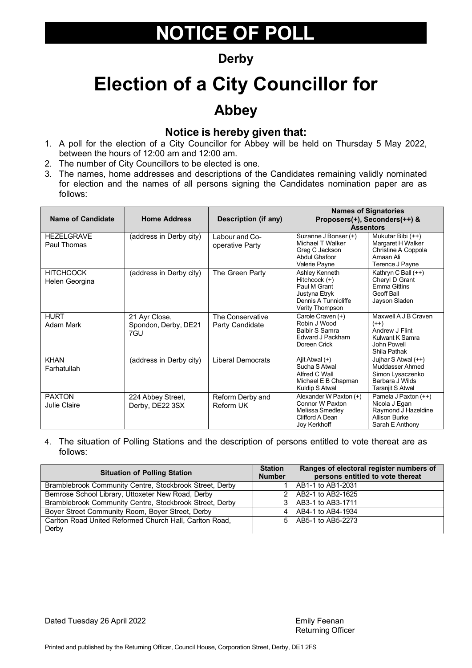### **Derby**

## **Election of a City Councillor for**

### **Abbey**

#### **Notice is hereby given that:**

- 1. A poll for the election of a City Councillor for Abbey will be held on Thursday 5 May 2022, between the hours of 12:00 am and 12:00 am.
- 2. The number of City Councillors to be elected is one.
- 3. The names, home addresses and descriptions of the Candidates remaining validly nominated for election and the names of all persons signing the Candidates nomination paper are as follows:

| <b>Name of Candidate</b>           | <b>Home Address</b>                          | Description (if any)                | <b>Names of Signatories</b><br>Proposers(+), Seconders(++) &<br><b>Assentors</b>                            |                                                                                                          |
|------------------------------------|----------------------------------------------|-------------------------------------|-------------------------------------------------------------------------------------------------------------|----------------------------------------------------------------------------------------------------------|
| <b>HEZELGRAVE</b><br>Paul Thomas   | (address in Derby city)                      | Labour and Co-<br>operative Party   | Suzanne J Bonser (+)<br>Michael T Walker<br>Greg C Jackson<br><b>Abdul Ghafoor</b><br>Valerie Payne         | Mukutar Bibi (++)<br>Margaret H Walker<br>Christine A Coppola<br>Amaan Ali<br>Terence J Payne            |
| <b>HITCHCOCK</b><br>Helen Georgina | (address in Derby city)                      | The Green Party                     | Ashley Kenneth<br>Hitchcock (+)<br>Paul M Grant<br>Justyna Etryk<br>Dennis A Tunnicliffe<br>Verity Thompson | Kathryn C Ball (++)<br>Cheryl D Grant<br>Emma Gittins<br>Geoff Ball<br>Jayson Sladen                     |
| <b>HURT</b><br>Adam Mark           | 21 Ayr Close,<br>Spondon, Derby, DE21<br>7GU | The Conservative<br>Party Candidate | Carole Craven (+)<br>Robin J Wood<br><b>Balbir S Samra</b><br>Edward J Packham<br>Doreen Crick              | Maxwell A J B Craven<br>$(++)$<br>Andrew J Flint<br>Kulwant K Samra<br>John Powell<br>Shila Pathak       |
| <b>KHAN</b><br>Farhatullah         | (address in Derby city)                      | <b>Liberal Democrats</b>            | Ajit Atwal (+)<br>Sucha S Atwal<br>Alfred C Wall<br>Michael E B Chapman<br>Kuldip S Atwal                   | Jujhar S Atwal (++)<br>Muddasser Ahmed<br>Simon Lysaczenko<br>Barbara J Wilds<br><b>Taraniit S Atwal</b> |
| <b>PAXTON</b><br>Julie Claire      | 224 Abbey Street,<br>Derby, DE22 3SX         | Reform Derby and<br>Reform UK       | Alexander W Paxton (+)<br>Connor W Paxton<br>Melissa Smedley<br>Clifford A Dean<br>Joy Kerkhoff             | Pamela J Paxton (++)<br>Nicola J Egan<br>Raymond J Hazeldine<br><b>Allison Burke</b><br>Sarah E Anthony  |

4. The situation of Polling Stations and the description of persons entitled to vote thereat are as follows:

| <b>Situation of Polling Station</b>                     | <b>Station</b><br><b>Number</b> | Ranges of electoral register numbers of<br>persons entitled to vote thereat |
|---------------------------------------------------------|---------------------------------|-----------------------------------------------------------------------------|
| Bramblebrook Community Centre, Stockbrook Street, Derby |                                 | AB1-1 to AB1-2031                                                           |
| Bemrose School Library, Uttoxeter New Road, Derby       |                                 | 2   AB2-1 to AB2-1625                                                       |
| Bramblebrook Community Centre, Stockbrook Street, Derby |                                 | 3   AB3-1 to AB3-1711                                                       |
| Boyer Street Community Room, Boyer Street, Derby        |                                 | 4   AB4-1 to AB4-1934                                                       |
| Carlton Road United Reformed Church Hall, Carlton Road, |                                 | 5   AB5-1 to AB5-2273                                                       |
| Derby                                                   |                                 |                                                                             |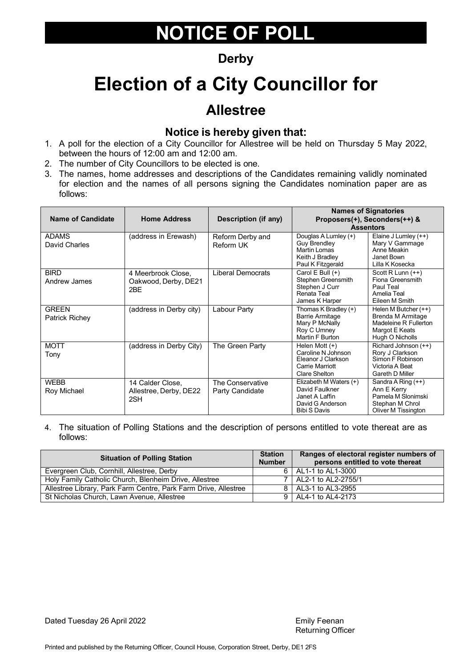#### **Derby**

## **Election of a City Councillor for**

### **Allestree**

#### **Notice is hereby given that:**

- 1. A poll for the election of a City Councillor for Allestree will be held on Thursday 5 May 2022, between the hours of 12:00 am and 12:00 am.
- 2. The number of City Councillors to be elected is one.
- 3. The names, home addresses and descriptions of the Candidates remaining validly nominated for election and the names of all persons signing the Candidates nomination paper are as follows:

| <b>Name of Candidate</b>       | <b>Home Address</b>                               | <b>Description (if any)</b>         | <b>Names of Signatories</b><br>Proposers(+), Seconders(++) &<br><b>Assentors</b>                      |                                                                                                          |
|--------------------------------|---------------------------------------------------|-------------------------------------|-------------------------------------------------------------------------------------------------------|----------------------------------------------------------------------------------------------------------|
| <b>ADAMS</b><br>David Charles  | (address in Erewash)                              | Reform Derby and<br>Reform UK       | Douglas A Lumley (+)<br><b>Guy Brendley</b><br>Martin Lomas<br>Keith J Bradley<br>Paul K Fitzgerald   | Elaine J Lumley (++)<br>Mary V Gammage<br>Anne Meakin<br>Janet Bown<br>Lilla K Kosecka                   |
| <b>BIRD</b><br>Andrew James    | 4 Meerbrook Close.<br>Oakwood, Derby, DE21<br>2BE | <b>Liberal Democrats</b>            | Carol E Bull (+)<br>Stephen Greensmith<br>Stephen J Curr<br>Renata Teal<br>James K Harper             | Scott R Lunn (++)<br>Fiona Greensmith<br>Paul Teal<br>Amelia Teal<br>Eileen M Smith                      |
| <b>GREEN</b><br>Patrick Richey | (address in Derby city)                           | Labour Party                        | Thomas K Bradley (+)<br><b>Barrie Armitage</b><br>Mary P McNally<br>Roy C Umney<br>Martin F Burton    | Helen M Butcher (++)<br>Brenda M Armitage<br>Madeleine R Fullerton<br>Margot E Keats<br>Hugh O Nicholls  |
| <b>MOTT</b><br>Tony            | (address in Derby City)                           | The Green Party                     | Helen Mott $(+)$<br>Caroline N Johnson<br>Eleanor J Clarkson<br>Carrie Marriott<br>Clare Shelton      | Richard Johnson (++)<br>Rory J Clarkson<br>Simon F Robinson<br>Victoria A Beat<br><b>Gareth D Miller</b> |
| <b>WEBB</b><br>Roy Michael     | 14 Calder Close,<br>Allestree, Derby, DE22<br>2SH | The Conservative<br>Party Candidate | Elizabeth M Waters (+)<br>David Faulkner<br>Janet A Laffin<br>David G Anderson<br><b>Bibi S Davis</b> | Sandra A Ring $(++)$<br>Ann E Kerry<br>Pamela M Slonimski<br>Stephan M Chrol<br>Oliver M Tissington      |

| <b>Situation of Polling Station</b>                             | <b>Station</b><br><b>Number</b> | Ranges of electoral register numbers of<br>persons entitled to vote thereat |
|-----------------------------------------------------------------|---------------------------------|-----------------------------------------------------------------------------|
| Evergreen Club, Cornhill, Allestree, Derby                      |                                 | 6   AL1-1 to AL1-3000                                                       |
| Holy Family Catholic Church, Blenheim Drive, Allestree          |                                 | 7   AL2-1 to AL2-2755/1                                                     |
| Allestree Library, Park Farm Centre, Park Farm Drive, Allestree |                                 | 8   AL3-1 to AL3-2955                                                       |
| St Nicholas Church, Lawn Avenue, Allestree                      |                                 | 9   AL4-1 to AL4-2173                                                       |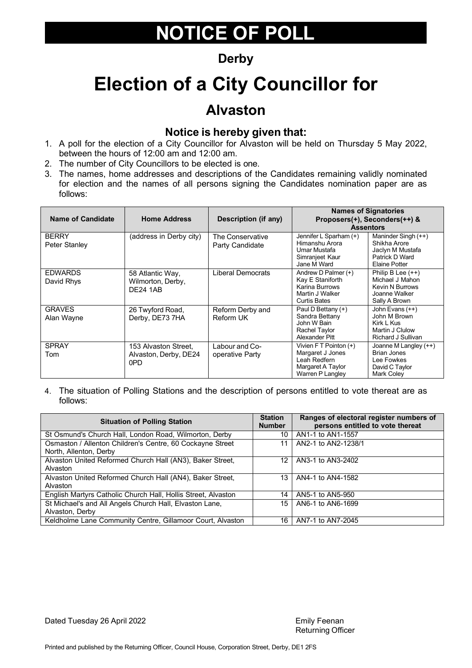#### **Derby**

## **Election of a City Councillor for**

### **Alvaston**

#### **Notice is hereby given that:**

- 1. A poll for the election of a City Councillor for Alvaston will be held on Thursday 5 May 2022, between the hours of 12:00 am and 12:00 am.
- 2. The number of City Councillors to be elected is one.
- 3. The names, home addresses and descriptions of the Candidates remaining validly nominated for election and the names of all persons signing the Candidates nomination paper are as follows:

| <b>Name of Candidate</b>      | <b>Home Address</b>                                      | <b>Description (if any)</b>          | <b>Assentors</b>                                                                                           | <b>Names of Signatories</b><br>Proposers(+), Seconders(++) &                                       |
|-------------------------------|----------------------------------------------------------|--------------------------------------|------------------------------------------------------------------------------------------------------------|----------------------------------------------------------------------------------------------------|
| <b>BERRY</b><br>Peter Stanley | (address in Derby city)                                  | The Conservative<br>Party Candidate  | Jennifer L Sparham (+)<br>Himanshu Arora<br>Umar Mustafa<br>Simranjeet Kaur<br>Jane M Ward                 | Maninder Singh (++)<br>Shikha Arore<br>Jaclyn M Mustafa<br>Patrick D Ward<br>Elaine Potter         |
| <b>EDWARDS</b><br>David Rhys  | 58 Atlantic Way,<br>Wilmorton, Derby,<br><b>DF24 1AB</b> | Liberal Democrats                    | Andrew D Palmer (+)<br>Kay E Staniforth<br><b>Karina Burrows</b><br>Martin J Walker<br><b>Curtis Bates</b> | Philip B Lee $(++)$<br>Michael J Mahon<br><b>Kevin N Burrows</b><br>Joanne Walker<br>Sally A Brown |
| <b>GRAVES</b><br>Alan Wayne   | 26 Twyford Road,<br>Derby, DE73 7HA                      | Reform Derby and<br><b>Reform UK</b> | Paul D Bettany (+)<br>Sandra Bettany<br>John W Bain<br>Rachel Taylor<br>Alexander Pitt                     | John Evans (++)<br>John M Brown<br>Kirk L Kus<br>Martin J Clulow<br>Richard J Sullivan             |
| <b>SPRAY</b><br>Tom           | 153 Alvaston Street,<br>Alvaston, Derby, DE24<br>0PD     | Labour and Co-<br>operative Party    | Vivien $F T$ Pointon $(+)$<br>Margaret J Jones<br>Leah Redfern<br>Margaret A Taylor<br>Warren P Langley    | Joanne M Langley (++)<br><b>Brian Jones</b><br>Lee Fowkes<br>David C Taylor<br>Mark Coley          |

4. The situation of Polling Stations and the description of persons entitled to vote thereat are as follows:

| <b>Situation of Polling Station</b>                                                 |    | Ranges of electoral register numbers of<br>persons entitled to vote thereat |
|-------------------------------------------------------------------------------------|----|-----------------------------------------------------------------------------|
| St Osmund's Church Hall, London Road, Wilmorton, Derby                              | 10 | AN1-1 to AN1-1557                                                           |
| Osmaston / Allenton Children's Centre, 60 Cockayne Street<br>North, Allenton, Derby | 11 | AN2-1 to AN2-1238/1                                                         |
| Alvaston United Reformed Church Hall (AN3), Baker Street,<br>Alvaston               | 12 | AN3-1 to AN3-2402                                                           |
| Alvaston United Reformed Church Hall (AN4), Baker Street,<br>Alvaston               | 13 | AN4-1 to AN4-1582                                                           |
| English Martyrs Catholic Church Hall, Hollis Street, Alvaston                       | 14 | AN5-1 to AN5-950                                                            |
| St Michael's and All Angels Church Hall, Elvaston Lane,<br>Alvaston, Derby          | 15 | AN6-1 to AN6-1699                                                           |
| Keldholme Lane Community Centre, Gillamoor Court, Alvaston                          | 16 | AN7-1 to AN7-2045                                                           |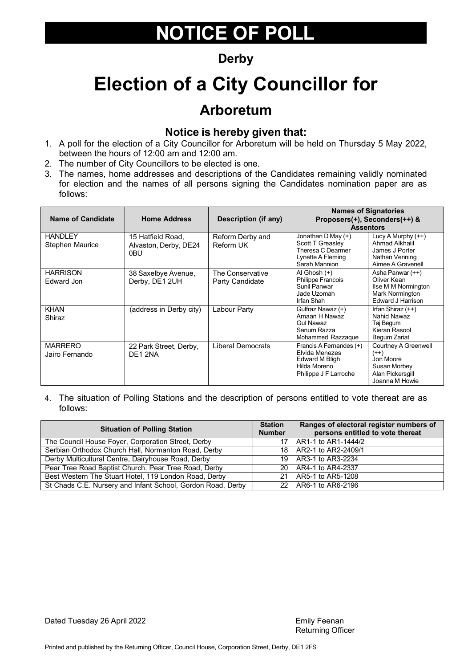### **Derby**

## **Election of a City Councillor for**

### **Arboretum**

#### **Notice is hereby given that:**

- 1. A poll for the election of a City Councillor for Arboretum will be held on Thursday 5 May 2022, between the hours of 12:00 am and 12:00 am.
- 2. The number of City Councillors to be elected is one.
- 3. The names, home addresses and descriptions of the Candidates remaining validly nominated for election and the names of all persons signing the Candidates nomination paper are as follows:

| <b>Name of Candidate</b>          | <b>Home Address</b>                                | <b>Description (if any)</b>         |                                                                                                      | <b>Names of Signatories</b><br>Proposers(+), Seconders(++) &<br><b>Assentors</b>                  |
|-----------------------------------|----------------------------------------------------|-------------------------------------|------------------------------------------------------------------------------------------------------|---------------------------------------------------------------------------------------------------|
| <b>HANDLEY</b><br>Stephen Maurice | 15 Hatfield Road,<br>Alvaston, Derby, DE24<br>0BU. | Reform Derby and<br>Reform UK       | Jonathan D May $(+)$<br>Scott T Greasley<br>Theresa C Dearmer<br>Lynette A Fleming<br>Sarah Mannion  | Lucy A Murphy $(++)$<br>Ahmad Alkhalil<br>James J Porter<br>Nathan Venning<br>Aimee A Gravenell   |
| <b>HARRISON</b><br>Edward Jon     | 38 Saxelbye Avenue,<br>Derby, DE1 2UH              | The Conservative<br>Party Candidate | Al Ghosh (+)<br><b>Philippe Francois</b><br>Sunil Panwar<br>Jade Uzomah<br>Irfan Shah                | Asha Panwar (++)<br>Oliver Kean<br>Ilse M M Normington<br>Mark Normington<br>Edward J Harrison    |
| <b>KHAN</b><br>Shiraz             | (address in Derby city)                            | Labour Party                        | Gulfraz Nawaz (+)<br>Amaan H Nawaz<br><b>Gul Nawaz</b><br>Sanum Razza<br>Mohammed Razzaque           | Irfan Shiraz (++)<br>Nahid Nawaz<br>Taj Begum<br>Kieran Rasool<br>Begum Zariat                    |
| <b>MARRERO</b><br>Jairo Fernando  | 22 Park Street, Derby,<br>DE1 2NA                  | <b>Liberal Democrats</b>            | Francis A Fernandes (+)<br>Elvida Menezes<br>Edward M Bligh<br>Hilda Moreno<br>Philippe J F Larroche | Courtney A Greenwell<br>$(++)$<br>Jon Moore<br>Susan Morbey<br>Alan Pickersgill<br>Joanna M Howie |

| <b>Situation of Polling Station</b>                         | <b>Station</b><br><b>Number</b> | Ranges of electoral register numbers of<br>persons entitled to vote thereat |
|-------------------------------------------------------------|---------------------------------|-----------------------------------------------------------------------------|
| The Council House Foyer, Corporation Street, Derby          |                                 | 17   AR1-1 to AR1-1444/2                                                    |
| Serbian Orthodox Church Hall, Normanton Road, Derby         |                                 | 18   AR2-1 to AR2-2409/1                                                    |
| Derby Multicultural Centre, Dairyhouse Road, Derby          |                                 | 19   AR3-1 to AR3-2234                                                      |
| Pear Tree Road Baptist Church, Pear Tree Road, Derby        |                                 | 20   AR4-1 to AR4-2337                                                      |
| Best Western The Stuart Hotel, 119 London Road, Derby       |                                 | 21   AR5-1 to AR5-1208                                                      |
| St Chads C.E. Nursery and Infant School, Gordon Road, Derby |                                 | 22   AR6-1 to AR6-2196                                                      |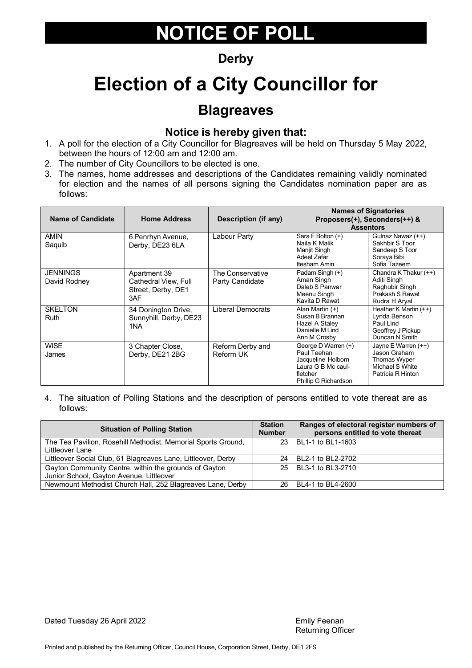### **Derby**

## **Election of a City Councillor for**

### **Blagreaves**

#### **Notice is hereby given that:**

- 1. A poll for the election of a City Councillor for Blagreaves will be held on Thursday 5 May 2022, between the hours of 12:00 am and 12:00 am.
- 2. The number of City Councillors to be elected is one.
- 3. The names, home addresses and descriptions of the Candidates remaining validly nominated for election and the names of all persons signing the Candidates nomination paper are as follows:

| <b>Name of Candidate</b>        | <b>Home Address</b>                                               | <b>Description (if any)</b>         |                                                                                                                    | <b>Names of Signatories</b><br>Proposers(+), Seconders(++) &<br><b>Assentors</b>            |
|---------------------------------|-------------------------------------------------------------------|-------------------------------------|--------------------------------------------------------------------------------------------------------------------|---------------------------------------------------------------------------------------------|
| <b>AMIN</b><br>Saquib           | 6 Penrhyn Avenue,<br>Derby, DE23 6LA                              | Labour Party                        | Sara F Bolton (+)<br>Naila K Malik<br>Manjit Singh<br>Adeel Zafar<br>Itesham Amin                                  | Gulnaz Nawaz (++)<br>Sakhbir S Toor<br>Sandeep S Toor<br>Soraya Bibi<br>Sofia Tazeem        |
| <b>JENNINGS</b><br>David Rodney | Apartment 39<br>Cathedral View, Full<br>Street, Derby, DE1<br>3AF | The Conservative<br>Party Candidate | Padam Singh (+)<br>Aman Singh<br>Daleb S Panwar<br>Meenu Singh<br>Kavita D Rawat                                   | Chandra K Thakur (++)<br>Aditi Singh<br>Raghubir Singh<br>Prakash S Rawat<br>Rudra H Aryal  |
| <b>SKELTON</b><br><b>Ruth</b>   | 34 Donington Drive,<br>Sunnyhill, Derby, DE23<br>1NA              | Liberal Democrats                   | Alan Martin (+)<br>Susan B Brannan<br>Hazel A Staley<br>Danielle M Lind<br>Ann M Crosby                            | Heather K Martin $(++)$<br>Lynda Benson<br>Paul Lind<br>Geoffrey J Pickup<br>Duncan N Smith |
| <b>WISE</b><br>James            | 3 Chapter Close,<br>Derby, DE21 2BG                               | Reform Derby and<br>Reform UK       | George D Warren (+)<br>Paul Teehan<br>Jacqueline Holborn<br>Laura G B Mc caul-<br>fletcher<br>Phillip G Richardson | Jayne E Warren (++)<br>Jason Graham<br>Thomas Wyper<br>Michael S White<br>Patricia R Hinton |

| <b>Situation of Polling Station</b>                                                               | <b>Station</b><br><b>Number</b> | Ranges of electoral register numbers of<br>persons entitled to vote thereat |
|---------------------------------------------------------------------------------------------------|---------------------------------|-----------------------------------------------------------------------------|
| The Tea Pavilion, Rosehill Methodist, Memorial Sports Ground,<br>Littleover Lane                  |                                 | 23   BL1-1 to BL1-1603                                                      |
| Littleover Social Club, 61 Blagreaves Lane, Littleover, Derby                                     |                                 | 24 BL2-1 to BL2-2702                                                        |
| Gayton Community Centre, within the grounds of Gayton<br>Junior School, Gayton Avenue, Littleover |                                 | 25 BL3-1 to BL3-2710                                                        |
| Newmount Methodist Church Hall, 252 Blagreaves Lane, Derby                                        |                                 | 26 BL4-1 to BL4-2600                                                        |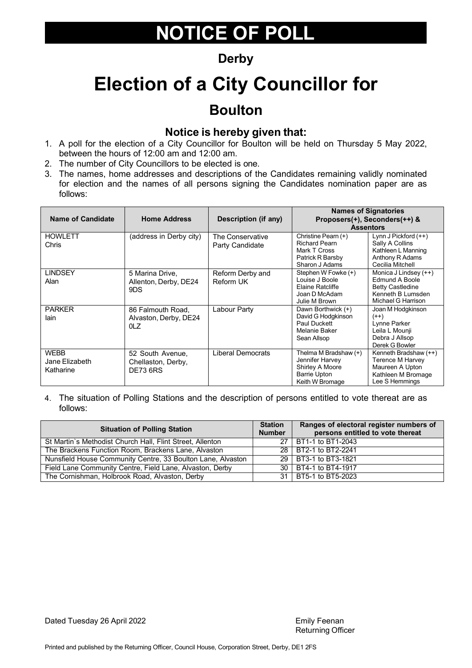#### **Derby**

## **Election of a City Councillor for Boulton**

#### **Notice is hereby given that:**

- 1. A poll for the election of a City Councillor for Boulton will be held on Thursday 5 May 2022, between the hours of 12:00 am and 12:00 am.
- 2. The number of City Councillors to be elected is one.
- 3. The names, home addresses and descriptions of the Candidates remaining validly nominated for election and the names of all persons signing the Candidates nomination paper are as follows:

| <b>Name of Candidate</b>                   | <b>Home Address</b>                                       | Description (if any)                |                                                                                                       | <b>Names of Signatories</b><br>Proposers(+), Seconders(++) &<br><b>Assentors</b>                              |
|--------------------------------------------|-----------------------------------------------------------|-------------------------------------|-------------------------------------------------------------------------------------------------------|---------------------------------------------------------------------------------------------------------------|
| <b>HOWLETT</b><br>Chris                    | (address in Derby city)                                   | The Conservative<br>Party Candidate | Christine Pearn (+)<br><b>Richard Pearn</b><br>Mark T Cross<br>Patrick R Barsby<br>Sharon J Adams     | Lynn J Pickford (++)<br>Sally A Collins<br>Kathleen L Manning<br>Anthony R Adams<br>Cecilia Mitchell          |
| <b>LINDSEY</b><br>Alan                     | 5 Marina Drive,<br>Allenton, Derby, DE24<br>9DS           | Reform Derby and<br>Reform UK       | Stephen W Fowke (+)<br>Louise J Boole<br>Elaine Ratcliffe<br>Joan D McAdam<br>Julie M Brown           | Monica J Lindsey (++)<br>Edmund A Boole<br><b>Betty Castledine</b><br>Kenneth B Lumsden<br>Michael G Harrison |
| <b>PARKER</b><br>lain                      | 86 Falmouth Road,<br>Alvaston, Derby, DE24<br>OLZ         | Labour Party                        | Dawn Borthwick (+)<br>David G Hodgkinson<br>Paul Duckett<br>Melanie Baker<br>Sean Allsop              | Joan M Hodgkinson<br>$(++)$<br>Lynne Parker<br>Leila L Mounji<br>Debra J Allsop<br>Derek G Bowler             |
| <b>WEBB</b><br>Jane Elizabeth<br>Katharine | 52 South Avenue,<br>Chellaston, Derby,<br><b>DE73 6RS</b> | Liberal Democrats                   | Thelma M Bradshaw (+)<br>Jennifer Harvey<br>Shirley A Moore<br><b>Barrie Upton</b><br>Keith W Bromage | Kenneth Bradshaw (++)<br><b>Terence M Harvey</b><br>Maureen A Upton<br>Kathleen M Bromage<br>Lee S Hemmings   |

| <b>Situation of Polling Station</b>                         |  | Ranges of electoral register numbers of<br>persons entitled to vote thereat |
|-------------------------------------------------------------|--|-----------------------------------------------------------------------------|
| St Martin's Methodist Church Hall, Flint Street, Allenton   |  | 27   BT1-1 to BT1-2043                                                      |
| The Brackens Function Room, Brackens Lane, Alvaston         |  | 28 BT2-1 to BT2-2241                                                        |
| Nunsfield House Community Centre, 33 Boulton Lane, Alvaston |  | 29   BT3-1 to BT3-1821                                                      |
| Field Lane Community Centre, Field Lane, Alvaston, Derby    |  | 30   BT4-1 to BT4-1917                                                      |
| The Cornishman, Holbrook Road, Alvaston, Derby              |  | 31   BT5-1 to BT5-2023                                                      |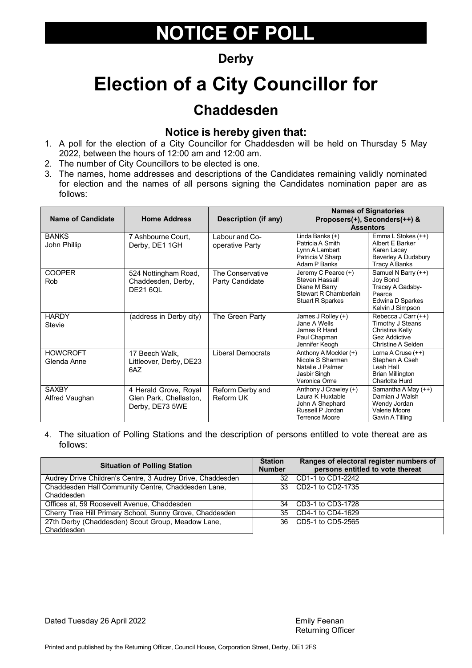### **Derby**

## **Election of a City Councillor for**

### **Chaddesden**

#### **Notice is hereby given that:**

- 1. A poll for the election of a City Councillor for Chaddesden will be held on Thursday 5 May 2022, between the hours of 12:00 am and 12:00 am.
- 2. The number of City Councillors to be elected is one.
- 3. The names, home addresses and descriptions of the Candidates remaining validly nominated for election and the names of all persons signing the Candidates nomination paper are as follows:

| <b>Name of Candidate</b>       | <b>Home Address</b>                                                | Description (if any)                |                                                                                                                | <b>Names of Signatories</b><br>Proposers(+), Seconders(++) &<br><b>Assentors</b>                         |
|--------------------------------|--------------------------------------------------------------------|-------------------------------------|----------------------------------------------------------------------------------------------------------------|----------------------------------------------------------------------------------------------------------|
| <b>BANKS</b><br>John Phillip   | 7 Ashbourne Court.<br>Derby, DE1 1GH                               | Labour and Co-<br>operative Party   | $\overline{\text{Lind}}$ a Banks (+)<br>Patricia A Smith<br>Lynn A Lambert<br>Patricia V Sharp<br>Adam P Banks | Emma L Stokes (++)<br>Albert E Barker<br>Karen Lacey<br>Beverley A Dudsbury<br>Tracy A Banks             |
| <b>COOPER</b><br><b>Rob</b>    | 524 Nottingham Road,<br>Chaddesden, Derby,<br><b>DE21 6QL</b>      | The Conservative<br>Party Candidate | Jeremy C Pearce (+)<br>Steven Hassall<br>Diane M Barry<br>Stewart R Chamberlain<br><b>Stuart R Sparkes</b>     | Samuel N Barry (++)<br>Joy Bond<br>Tracey A Gadsby-<br>Pearce<br>Edwina D Sparkes<br>Kelvin J Simpson    |
| <b>HARDY</b><br>Stevie         | (address in Derby city)                                            | The Green Party                     | James J Rolley (+)<br>Jane A Wells<br>James R Hand<br>Paul Chapman<br>Jennifer Keogh                           | Rebecca J Carr (++)<br>Timothy J Steans<br>Christina Kelly<br><b>Gez Addictive</b><br>Christine A Selden |
| <b>HOWCROFT</b><br>Glenda Anne | 17 Beech Walk.<br>Littleover, Derby, DE23<br>6AZ                   | <b>Liberal Democrats</b>            | Anthony A Mockler (+)<br>Nicola S Sharman<br>Natalie J Palmer<br>Jasbir Singh<br>Veronica Orme                 | Lorna A Cruse (++)<br>Stephen A Cseh<br>Leah Hall<br><b>Brian Millington</b><br>Charlotte Hurd           |
| <b>SAXBY</b><br>Alfred Vaughan | 4 Herald Grove, Royal<br>Glen Park, Chellaston,<br>Derby, DE73 5WE | Reform Derby and<br>Reform UK       | Anthony J Crawley (+)<br>Laura K Huxtable<br>John A Shephard<br>Russell P Jordan<br><b>Terrence Moore</b>      | Samantha A May (++)<br>Damian J Walsh<br>Wendy Jordan<br>Valerie Moore<br>Gavin A Tilling                |

4. The situation of Polling Stations and the description of persons entitled to vote thereat are as follows:

| <b>Situation of Polling Station</b>                              |    | Ranges of electoral register numbers of<br>persons entitled to vote thereat |
|------------------------------------------------------------------|----|-----------------------------------------------------------------------------|
| Audrey Drive Children's Centre, 3 Audrey Drive, Chaddesden       |    | 32   CD1-1 to CD1-2242                                                      |
| Chaddesden Hall Community Centre, Chaddesden Lane,<br>Chaddesden |    | 33   CD2-1 to CD2-1735                                                      |
| Offices at, 59 Roosevelt Avenue, Chaddesden                      | 34 | CD3-1 to CD3-1728                                                           |
| Cherry Tree Hill Primary School, Sunny Grove, Chaddesden         |    | 35   CD4-1 to CD4-1629                                                      |
| 27th Derby (Chaddesden) Scout Group, Meadow Lane,<br>Chaddesden  |    | 36   CD5-1 to CD5-2565                                                      |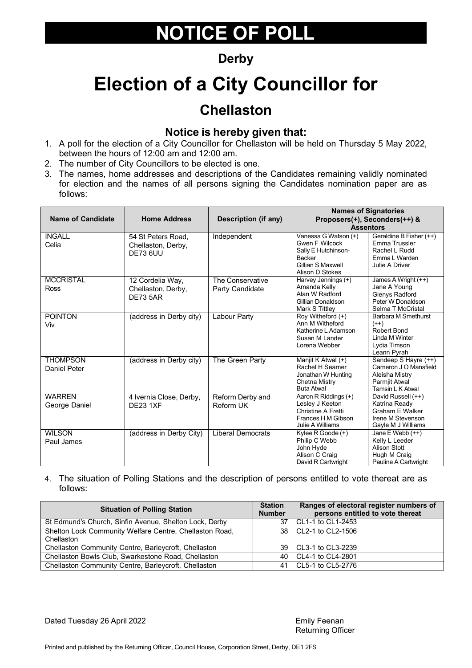### **Derby**

## **Election of a City Councillor for**

### **Chellaston**

#### **Notice is hereby given that:**

- 1. A poll for the election of a City Councillor for Chellaston will be held on Thursday 5 May 2022, between the hours of 12:00 am and 12:00 am.
- 2. The number of City Councillors to be elected is one.
- 3. The names, home addresses and descriptions of the Candidates remaining validly nominated for election and the names of all persons signing the Candidates nomination paper are as follows:

| <b>Name of Candidate</b>        | <b>Home Address</b>                                       | <b>Description (if any)</b>         |                                                                                                                        | <b>Names of Signatories</b><br>Proposers(+), Seconders(++) &                                             |
|---------------------------------|-----------------------------------------------------------|-------------------------------------|------------------------------------------------------------------------------------------------------------------------|----------------------------------------------------------------------------------------------------------|
|                                 |                                                           |                                     | <b>Assentors</b>                                                                                                       |                                                                                                          |
| <b>INGALL</b><br>Celia          | 54 St Peters Road.<br>Chellaston, Derby,<br>DE73 6UU      | Independent                         | Vanessa G Watson (+)<br><b>Gwen F Wilcock</b><br>Sally E Hutchinson-<br>Backer<br>Gillian S Maxwell<br>Alison D Stokes | Geraldine B Fisher (++)<br>Emma Trussler<br>Rachel L Rudd<br>Emma L Warden<br>Julie A Driver             |
| <b>MCCRISTAL</b><br><b>Ross</b> | 12 Cordelia Way,<br>Chellaston, Derby,<br><b>DF73 5AR</b> | The Conservative<br>Party Candidate | Harvey Jennings (+)<br>Amanda Kelly<br>Alan W Radford<br>Gillian Donaldson<br>Mark S Tittley                           | James A Wright (++)<br>Jane A Young<br><b>Glenys Radford</b><br>Peter W Donaldson<br>Selma T McCristal   |
| <b>POINTON</b><br>Viv           | (address in Derby city)                                   | <b>Labour Party</b>                 | Roy Witheford (+)<br>Ann M Witheford<br>Katherine L Adamson<br>Susan M Lander<br>Lorena Webber                         | <b>Barbara M Smethurst</b><br>$(++)$<br>Robert Bond<br>Linda M Winter<br>Lydia Timson<br>Leann Pyrah     |
| <b>THOMPSON</b><br>Daniel Peter | (address in Derby city)                                   | The Green Party                     | Manjit K Atwal (+)<br>Rachel H Seamer<br>Jonathan W Hunting<br>Chetna Mistry<br><b>Buta Atwal</b>                      | Sandeep S Hayre (++)<br>Cameron J O Mansfield<br>Aleisha Mistry<br>Parmjit Atwal<br>Tamsin L K Atwal     |
| <b>WARREN</b><br>George Daniel  | 4 Ivernia Close, Derby,<br><b>DE23 1XF</b>                | Reform Derby and<br>Reform UK       | Aaron R Riddings (+)<br>Lesley J Keeton<br><b>Christine A Fretti</b><br>Frances H M Gibson<br>Julie A Williams         | David Russell (++)<br>Katrina Ready<br><b>Graham E Walker</b><br>Irene M Stevenson<br>Gayle M J Williams |
| <b>WILSON</b><br>Paul James     | (address in Derby City)                                   | <b>Liberal Democrats</b>            | Kylee $R$ Goode $(+)$<br>Philip C Webb<br>John Hyde<br>Alison C Craig<br>David R Cartwright                            | Jane $E$ Webb $(++)$<br>Kelly L Leeder<br>Alison Stott<br>Hugh M Craig<br>Pauline A Cartwright           |

4. The situation of Polling Stations and the description of persons entitled to vote thereat are as follows:

| <b>Situation of Polling Station</b>                     |  | Ranges of electoral register numbers of<br>persons entitled to vote thereat |
|---------------------------------------------------------|--|-----------------------------------------------------------------------------|
| St Edmund's Church, Sinfin Avenue, Shelton Lock, Derby  |  | 37   CL1-1 to CL1-2453                                                      |
| Shelton Lock Community Welfare Centre, Chellaston Road, |  | 38   CL2-1 to CL2-1506                                                      |
| Chellaston                                              |  |                                                                             |
| Chellaston Community Centre, Barleycroft, Chellaston    |  | 39   CL3-1 to CL3-2239                                                      |
| Chellaston Bowls Club, Swarkestone Road, Chellaston     |  | 40   CL4-1 to CL4-2801                                                      |
| Chellaston Community Centre, Barleycroft, Chellaston    |  | 41   CL5-1 to CL5-2776                                                      |

Dated Tuesday 26 April 2022 **Emily Feenan** 

Returning Officer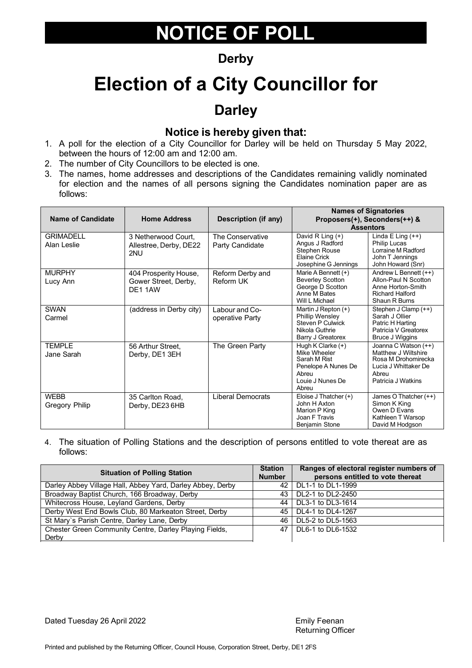### **Derby**

# **Election of a City Councillor for**

### **Darley**

#### **Notice is hereby given that:**

- 1. A poll for the election of a City Councillor for Darley will be held on Thursday 5 May 2022, between the hours of 12:00 am and 12:00 am.
- 2. The number of City Councillors to be elected is one.
- 3. The names, home addresses and descriptions of the Candidates remaining validly nominated for election and the names of all persons signing the Candidates nomination paper are as follows:

| <b>Name of Candidate</b>        | <b>Home Address</b>                                     | Description (if any)                | <b>Assentors</b>                                                                                                 | <b>Names of Signatories</b><br>Proposers(+), Seconders(++) &                                                              |
|---------------------------------|---------------------------------------------------------|-------------------------------------|------------------------------------------------------------------------------------------------------------------|---------------------------------------------------------------------------------------------------------------------------|
| <b>GRIMADELL</b><br>Alan Leslie | 3 Netherwood Court.<br>Allestree, Derby, DE22<br>2NU    | The Conservative<br>Party Candidate | David R Ling (+)<br>Angus J Radford<br><b>Stephen Rouse</b><br>Elaine Crick<br>Josephine G Jennings              | Linda E Ling $(++)$<br><b>Philip Lucas</b><br>Lorraine M Radford<br>John T Jennings<br>John Howard (Snr)                  |
| <b>MURPHY</b><br>Lucy Ann       | 404 Prosperity House,<br>Gower Street, Derby,<br>DE11AW | Reform Derby and<br>Reform UK       | Marie A Bennett $(+)$<br><b>Beverley Scotton</b><br>George D Scotton<br>Anne M Bates<br>Will L Michael           | Andrew L Bennett $(++)$<br>Allon-Paul N Scotton<br>Anne Horton-Smith<br><b>Richard Halford</b><br>Shaun R Burns           |
| <b>SWAN</b><br>Carmel           | (address in Derby city)                                 | Labour and Co-<br>operative Party   | Martin J Repton (+)<br>Phillip Wensley<br>Steven P Culwick<br>Nikola Guthrie<br>Barry J Greatorex                | Stephen J Clamp (++)<br>Sarah J Ollier<br>Patric H Harting<br>Patricia V Greatorex<br><b>Bruce J Wiggins</b>              |
| <b>TEMPLE</b><br>Jane Sarah     | 56 Arthur Street,<br>Derby, DE1 3EH                     | The Green Party                     | Hugh K Clarke $(+)$<br>Mike Wheeler<br>Sarah M Rist<br>Penelope A Nunes De<br>Abreu<br>Louie J Nunes De<br>Abreu | Joanna C Watson (++)<br>Matthew J Wiltshire<br>Rosa M Drohomirecka<br>Lucia J Whittaker De<br>Abreu<br>Patricia J Watkins |
| <b>WEBB</b><br>Gregory Philip   | 35 Carlton Road,<br>Derby, DE23 6HB                     | <b>Liberal Democrats</b>            | Eloise J Thatcher (+)<br>John H Axton<br>Marion P King<br>Joan F Travis<br>Benjamin Stone                        | James O Thatcher (++)<br>Simon K King<br>Owen D Evans<br>Kathleen T Warsop<br>David M Hodgson                             |

4. The situation of Polling Stations and the description of persons entitled to vote thereat are as follows:

| <b>Situation of Polling Station</b>                        |     | Ranges of electoral register numbers of<br>persons entitled to vote thereat |
|------------------------------------------------------------|-----|-----------------------------------------------------------------------------|
| Darley Abbey Village Hall, Abbey Yard, Darley Abbey, Derby |     | 42   DL1-1 to DL1-1999                                                      |
| Broadway Baptist Church, 166 Broadway, Derby               | 43. | DL2-1 to DL2-2450                                                           |
| Whitecross House, Leyland Gardens, Derby                   |     | 44 DL3-1 to DL3-1614                                                        |
| Derby West End Bowls Club, 80 Markeaton Street, Derby      |     | 45   DL4-1 to DL4-1267                                                      |
| St Mary's Parish Centre, Darley Lane, Derby                | 46. | DL5-2 to DL5-1563                                                           |
| Chester Green Community Centre, Darley Playing Fields,     |     | 47   DL6-1 to DL6-1532                                                      |
| Derby                                                      |     |                                                                             |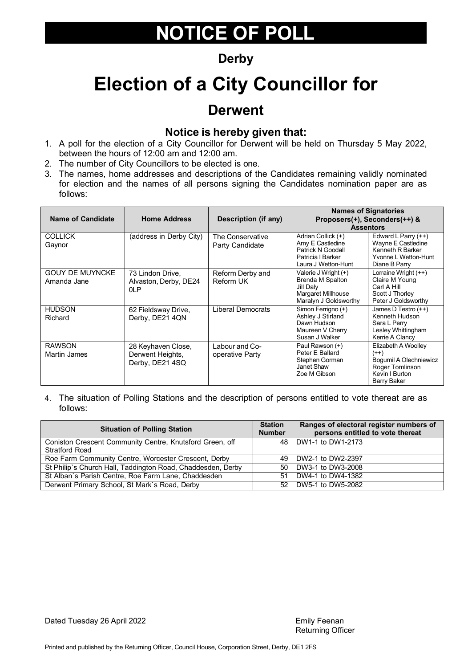#### **Derby**

## **Election of a City Councillor for**

### **Derwent**

#### **Notice is hereby given that:**

- 1. A poll for the election of a City Councillor for Derwent will be held on Thursday 5 May 2022, between the hours of 12:00 am and 12:00 am.
- 2. The number of City Councillors to be elected is one.
- 3. The names, home addresses and descriptions of the Candidates remaining validly nominated for election and the names of all persons signing the Candidates nomination paper are as follows:

| <b>Name of Candidate</b>              | <b>Home Address</b>                                       | Description (if any)                |                                                                                                         | <b>Names of Signatories</b><br>Proposers(+), Seconders(++) &<br><b>Assentors</b>                            |
|---------------------------------------|-----------------------------------------------------------|-------------------------------------|---------------------------------------------------------------------------------------------------------|-------------------------------------------------------------------------------------------------------------|
| <b>COLLICK</b><br>Gaynor              | (address in Derby City)                                   | The Conservative<br>Party Candidate | Adrian Collick (+)<br>Amy E Castledine<br>Patrick N Goodall<br>Patricia I Barker<br>Laura J Wetton-Hunt | Edward L Parry $(++)$<br>Wayne E Castledine<br>Kenneth R Barker<br>Yvonne L Wetton-Hunt<br>Diane B Parry    |
| <b>GOUY DE MUYNCKE</b><br>Amanda Jane | 73 Lindon Drive,<br>Alvaston, Derby, DE24<br>0LP          | Reform Derby and<br>Reform UK       | Valerie J Wright (+)<br>Brenda M Spalton<br>Jill Daly<br>Margaret Millhouse<br>Maralyn J Goldsworthy    | Lorraine Wright (++)<br>Claire M Young<br>Carl A Hill<br>Scott J Thorley<br>Peter J Goldsworthy             |
| <b>HUDSON</b><br>Richard              | 62 Fieldsway Drive,<br>Derby, DE21 4QN                    | <b>Liberal Democrats</b>            | Simon Ferrigno (+)<br>Ashley J Stirland<br>Dawn Hudson<br>Maureen V Cherry<br>Susan J Walker            | James D Testro (++)<br>Kenneth Hudson<br>Sara L Perry<br>Lesley Whittingham<br>Kerrie A Clancy              |
| <b>RAWSON</b><br>Martin James         | 28 Keyhaven Close,<br>Derwent Heights,<br>Derby, DE21 4SQ | Labour and Co-<br>operative Party   | Paul Rawson (+)<br>Peter E Ballard<br>Stephen Gorman<br>Janet Shaw<br>Zoe M Gibson                      | Elizabeth A Woolley<br>$(++)$<br>Bogumil A Olechniewicz<br>Roger Tomlinson<br>Kevin I Burton<br>Barry Baker |

| <b>Situation of Polling Station</b>                                               | <b>Station</b><br><b>Number</b> | Ranges of electoral register numbers of<br>persons entitled to vote thereat |
|-----------------------------------------------------------------------------------|---------------------------------|-----------------------------------------------------------------------------|
| Coniston Crescent Community Centre, Knutsford Green, off<br><b>Stratford Road</b> |                                 | 48 DW1-1 to DW1-2173                                                        |
| Roe Farm Community Centre, Worcester Crescent, Derby                              |                                 | 49   DW2-1 to DW2-2397                                                      |
| St Philip's Church Hall, Taddington Road, Chaddesden, Derby                       |                                 | 50 DW3-1 to DW3-2008                                                        |
| St Alban's Parish Centre, Roe Farm Lane, Chaddesden                               | 51                              | DW4-1 to DW4-1382                                                           |
| Derwent Primary School, St Mark's Road, Derby                                     |                                 | 52 DW5-1 to DW5-2082                                                        |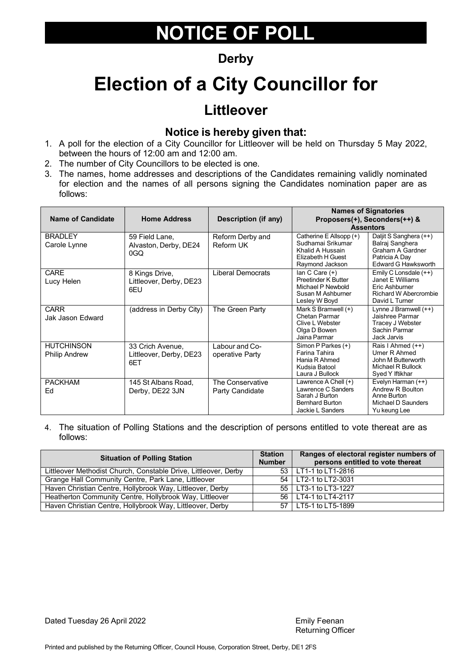### **Derby**

## **Election of a City Councillor for**

### **Littleover**

#### **Notice is hereby given that:**

- 1. A poll for the election of a City Councillor for Littleover will be held on Thursday 5 May 2022, between the hours of 12:00 am and 12:00 am.
- 2. The number of City Councillors to be elected is one.
- 3. The names, home addresses and descriptions of the Candidates remaining validly nominated for election and the names of all persons signing the Candidates nomination paper are as follows:

| <b>Name of Candidate</b>                  | <b>Home Address</b>                                | Description (if any)                | <b>Names of Signatories</b><br>Proposers(+), Seconders(++) &<br><b>Assentors</b>                             |                                                                                                        |
|-------------------------------------------|----------------------------------------------------|-------------------------------------|--------------------------------------------------------------------------------------------------------------|--------------------------------------------------------------------------------------------------------|
| <b>BRADLEY</b><br>Carole Lynne            | 59 Field Lane,<br>Alvaston, Derby, DE24<br>0GQ     | Reform Derby and<br>Reform UK       | Catherine E Allsopp (+)<br>Sudhamai Srikumar<br>Khalid A Hussain<br>Elizabeth H Guest<br>Raymond Jackson     | Daljit S Sanghera (++)<br>Balraj Sanghera<br>Graham A Gardner<br>Patricia A Day<br>Edward G Hawksworth |
| <b>CARE</b><br>Lucy Helen                 | 8 Kings Drive,<br>Littleover, Derby, DE23<br>6EU   | <b>Liberal Democrats</b>            | $lan C Care (+)$<br>Preetinder K Butter<br>Michael P Newbold<br>Susan M Ashburner<br>Lesley W Boyd           | Emily C Lonsdale (++)<br>Janet F Williams<br>Eric Ashburner<br>Richard W Abercrombie<br>David L Turner |
| <b>CARR</b><br>Jak Jason Edward           | (address in Derby City)                            | The Green Party                     | Mark S Bramwell (+)<br>Chetan Parmar<br>Clive L Webster<br>Olga D Bowen<br>Jaina Parmar                      | Lynne J Bramwell $(++)$<br>Jaishree Parmar<br>Tracey J Webster<br>Sachin Parmar<br>Jack Jarvis         |
| <b>HUTCHINSON</b><br><b>Philip Andrew</b> | 33 Crich Avenue,<br>Littleover, Derby, DE23<br>6FT | Labour and Co-<br>operative Party   | Simon P Parkes (+)<br><b>Farina Tahira</b><br>Hania R Ahmed<br>Kudsia Batool<br>Laura J Bullock              | Rais I Ahmed (++)<br>Umer R Ahmed<br>John M Butterworth<br>Michael R Bullock<br>Syed Y Iftikhar        |
| <b>PACKHAM</b><br>Fd                      | 145 St Albans Road.<br>Derby, DE22 3JN             | The Conservative<br>Party Candidate | Lawrence A Chell $(+)$<br>Lawrence C Sanders<br>Sarah J Burton<br><b>Bernhard Burton</b><br>Jackie L Sanders | Evelyn Harman (++)<br>Andrew R Boulton<br>Anne Burton<br>Michael D Saunders<br>Yu keung Lee            |

4. The situation of Polling Stations and the description of persons entitled to vote thereat are as follows:

| <b>Situation of Polling Station</b>                             |  | Ranges of electoral register numbers of<br>persons entitled to vote thereat |
|-----------------------------------------------------------------|--|-----------------------------------------------------------------------------|
| Littleover Methodist Church, Constable Drive, Littleover, Derby |  | 53 LT1-1 to LT1-2816                                                        |
| Grange Hall Community Centre, Park Lane, Littleover             |  | 54   LT2-1 to LT2-3031                                                      |
| Haven Christian Centre, Hollybrook Way, Littleover, Derby       |  | 55 LT3-1 to LT3-1227                                                        |
| Heatherton Community Centre, Hollybrook Way, Littleover         |  | 56   LT4-1 to LT4-2117                                                      |
| Haven Christian Centre, Hollybrook Way, Littleover, Derby       |  | 57 LT5-1 to LT5-1899                                                        |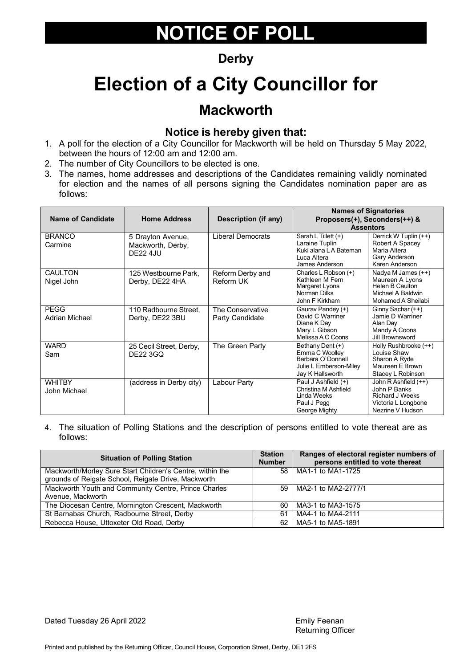### **Derby**

## **Election of a City Councillor for**

### **Mackworth**

#### **Notice is hereby given that:**

- 1. A poll for the election of a City Councillor for Mackworth will be held on Thursday 5 May 2022, between the hours of 12:00 am and 12:00 am.
- 2. The number of City Councillors to be elected is one.
- 3. The names, home addresses and descriptions of the Candidates remaining validly nominated for election and the names of all persons signing the Candidates nomination paper are as follows:

| <b>Name of Candidate</b>      | <b>Home Address</b>                                 | <b>Description (if any)</b>         | <b>Names of Signatories</b><br>Proposers(+), Seconders(++) &<br><b>Assentors</b>                      |                                                                                                                            |
|-------------------------------|-----------------------------------------------------|-------------------------------------|-------------------------------------------------------------------------------------------------------|----------------------------------------------------------------------------------------------------------------------------|
| <b>BRANCO</b><br>Carmine      | 5 Drayton Avenue,<br>Mackworth, Derby,<br>DF22 4.IU | Liberal Democrats                   | Sarah L Tillett (+)<br>Laraine Tuplin<br>Kuki alana L A Bateman<br>Luca Altera<br>James Anderson      | Derrick W Tuplin (++)<br>Robert A Spacey<br>Maria Altera<br>Gary Anderson<br>Karen Anderson                                |
| <b>CAULTON</b><br>Nigel John  | 125 Westbourne Park.<br>Derby, DE22 4HA             | Reform Derby and<br>Reform UK       | Charles L Robson (+)<br>Kathleen M Fern<br>Margaret Lyons<br>Norman Dilks<br>John F Kirkham           | $\overline{\text{Nady}}$ a M James $(++)$<br>Maureen A Lyons<br>Helen B Caulton<br>Michael A Baldwin<br>Mohamed A Sheilabi |
| <b>PEGG</b><br>Adrian Michael | 110 Radbourne Street,<br>Derby, DE22 3BU            | The Conservative<br>Party Candidate | Gaurav Pandey (+)<br>David C Warriner<br>Diane K Day<br>Mary L Gibson<br>Melissa A C Coons            | Ginny Sachar (++)<br>Jamie D Warriner<br>Alan Day<br>Mandy A Coons<br>Jill Brownsword                                      |
| <b>WARD</b><br>Sam            | 25 Cecil Street, Derby,<br><b>DE22 3GQ</b>          | The Green Party                     | Bethany Dent (+)<br>Emma C Woolley<br>Barbara O'Donnell<br>Julie L Emberson-Miley<br>Jay K Hallsworth | Holly Rushbrooke (++)<br>Louise Shaw<br>Sharon A Ryde<br>Maureen E Brown<br>Stacey L Robinson                              |
| <b>WHITBY</b><br>John Michael | (address in Derby city)                             | Labour Party                        | Paul J Ashfield (+)<br>Christina M Ashfield<br>Linda Weeks<br>Paul J Pegg<br>George Mighty            | John R Ashfield (++)<br>John P Banks<br><b>Richard J Weeks</b><br>Victoria L Longbone<br>Nezrine V Hudson                  |

4. The situation of Polling Stations and the description of persons entitled to vote thereat are as follows:

| <b>Situation of Polling Station</b>                       |    | Ranges of electoral register numbers of<br>persons entitled to vote thereat |
|-----------------------------------------------------------|----|-----------------------------------------------------------------------------|
| Mackworth/Morley Sure Start Children's Centre, within the |    | 58   MA1-1 to MA1-1725                                                      |
| grounds of Reigate School, Reigate Drive, Mackworth       |    |                                                                             |
| Mackworth Youth and Community Centre, Prince Charles      |    | 59   MA2-1 to MA2-2777/1                                                    |
| Avenue, Mackworth                                         |    |                                                                             |
| The Diocesan Centre, Mornington Crescent, Mackworth       | 60 | MA3-1 to MA3-1575                                                           |
| St Barnabas Church, Radbourne Street, Derby               | 61 | MA4-1 to MA4-2111                                                           |
| Rebecca House, Uttoxeter Old Road, Derby                  | 62 | MA5-1 to MA5-1891                                                           |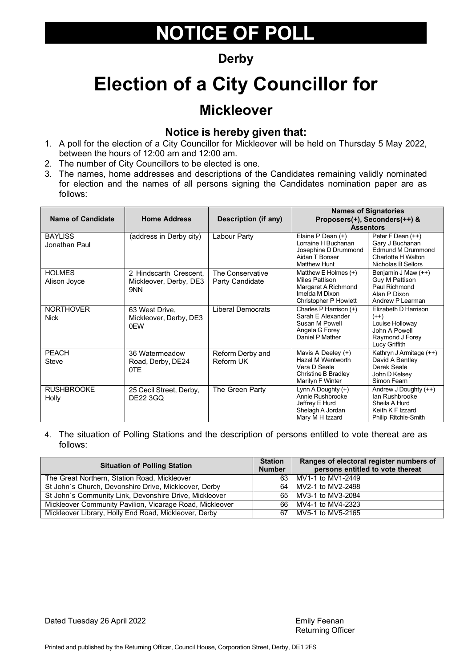### **Derby**

## **Election of a City Councillor for**

### **Mickleover**

#### **Notice is hereby given that:**

- 1. A poll for the election of a City Councillor for Mickleover will be held on Thursday 5 May 2022, between the hours of 12:00 am and 12:00 am.
- 2. The number of City Councillors to be elected is one.
- 3. The names, home addresses and descriptions of the Candidates remaining validly nominated for election and the names of all persons signing the Candidates nomination paper are as follows:

| <b>Name of Candidate</b>        | <b>Home Address</b>                                     | Description (if any)                | <b>Assentors</b>                                                                                                | <b>Names of Signatories</b><br>Proposers(+), Seconders(++) &                                           |
|---------------------------------|---------------------------------------------------------|-------------------------------------|-----------------------------------------------------------------------------------------------------------------|--------------------------------------------------------------------------------------------------------|
| <b>BAYLISS</b><br>Jonathan Paul | (address in Derby city)                                 | Labour Party                        | Elaine P Dean (+)<br>Lorraine H Buchanan<br>Josephine D Drummond<br>Aidan T Bonser<br><b>Matthew Hunt</b>       | Peter F Dean (++)<br>Gary J Buchanan<br>Edmund M Drummond<br>Charlotte H Walton<br>Nicholas B Sellors  |
| <b>HOLMES</b><br>Alison Joyce   | 2 Hindscarth Crescent,<br>Mickleover, Derby, DE3<br>9NN | The Conservative<br>Party Candidate | Matthew E Holmes (+)<br><b>Miles Pattison</b><br>Margaret A Richmond<br>Imelda M Dixon<br>Christopher P Howlett | Benjamin J Maw (++)<br>Guy M Pattison<br>Paul Richmond<br>Alan P Dixon<br>Andrew P Learman             |
| <b>NORTHOVER</b><br><b>Nick</b> | 63 West Drive,<br>Mickleover, Derby, DE3<br>0FW         | <b>Liberal Democrats</b>            | Charles P Harrison (+)<br>Sarah E Alexander<br>Susan M Powell<br>Angela G Forey<br>Daniel P Mather              | Elizabeth D Harrison<br>$(++)$<br>Louise Holloway<br>John A Powell<br>Raymond J Forey<br>Lucy Griffith |
| <b>PEACH</b><br><b>Steve</b>    | 36 Watermeadow<br>Road, Derby, DE24<br>0TE              | Reform Derby and<br>Reform UK       | Mavis A Deeley (+)<br>Hazel M Wentworth<br>Vera D Seale<br>Christine B Bradley<br>Marilyn F Winter              | Kathryn J Armitage (++)<br>David A Bentley<br>Derek Seale<br>John D Kelsev<br>Simon Fearn              |
| <b>RUSHBROOKE</b><br>Holly      | 25 Cecil Street, Derby,<br><b>DE22 3GQ</b>              | The Green Party                     | Lynn A Doughty $(+)$<br>Annie Rushbrooke<br>Jeffrey E Hurd<br>Shelagh A Jordan<br>Mary M H Izzard               | Andrew J Doughty (++)<br>lan Rushbrooke<br>Sheila A Hurd<br>Keith K F Izzard<br>Philip Ritchie-Smith   |

4. The situation of Polling Stations and the description of persons entitled to vote thereat are as follows:

| <b>Situation of Polling Station</b>                      |  | Ranges of electoral register numbers of<br>persons entitled to vote thereat |
|----------------------------------------------------------|--|-----------------------------------------------------------------------------|
| The Great Northern, Station Road, Mickleover             |  | 63 MV1-1 to MV1-2449                                                        |
| St John's Church, Devonshire Drive, Mickleover, Derby    |  | 64 MV2-1 to MV2-2498                                                        |
| St John's Community Link, Devonshire Drive, Mickleover   |  | 65 MV3-1 to MV3-2084                                                        |
| Mickleover Community Pavilion, Vicarage Road, Mickleover |  | 66 MV4-1 to MV4-2323                                                        |
| Mickleover Library, Holly End Road, Mickleover, Derby    |  | 67 MV5-1 to MV5-2165                                                        |

Dated Tuesday 26 April 2022 **Emily Feenan** Emily Feenan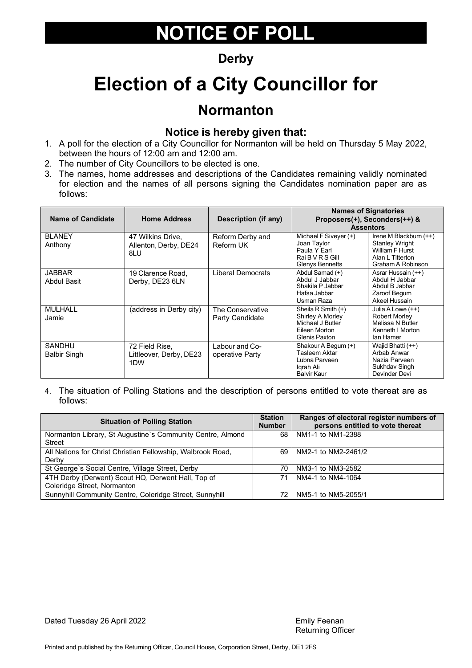### **Derby**

## **Election of a City Councillor for**

### **Normanton**

#### **Notice is hereby given that:**

- 1. A poll for the election of a City Councillor for Normanton will be held on Thursday 5 May 2022, between the hours of 12:00 am and 12:00 am.
- 2. The number of City Councillors to be elected is one.
- 3. The names, home addresses and descriptions of the Candidates remaining validly nominated for election and the names of all persons signing the Candidates nomination paper are as follows:

| <b>Name of Candidate</b>      | <b>Home Address</b>                                           | <b>Description (if any)</b>         |                                                                                              | <b>Names of Signatories</b><br>Proposers(+), Seconders(++) &<br><b>Assentors</b>                                   |
|-------------------------------|---------------------------------------------------------------|-------------------------------------|----------------------------------------------------------------------------------------------|--------------------------------------------------------------------------------------------------------------------|
| <b>BLANEY</b><br>Anthony      | 47 Wilkins Drive,<br>Allenton, Derby, DE24<br>8LU             | Reform Derby and<br>Reform UK       | Michael F Siveyer (+)<br>Joan Taylor<br>Paula Y Earl<br>Rai B V R S Gill<br>Glenys Bennetts  | Irene M Blackburn (++)<br><b>Stanley Wright</b><br><b>William F Hurst</b><br>Alan L Titterton<br>Graham A Robinson |
| JABBAR<br>Abdul Basit         | 19 Clarence Road,<br>Derby, DE23 6LN                          | Liberal Democrats                   | Abdul Samad (+)<br>Abdul J Jabbar<br>Shakila P Jabbar<br>Hafsa Jabbar<br>Usman Raza          | Asrar Hussain (++)<br>Abdul H Jabbar<br>Abdul B Jabbar<br>Zaroof Begum<br>Akeel Hussain                            |
| <b>MULHALL</b><br>Jamie       | (address in Derby city)                                       | The Conservative<br>Party Candidate | Sheila R Smith (+)<br>Shirley A Morley<br>Michael J Butler<br>Eileen Morton<br>Glenis Paxton | Julia A Lowe (++)<br>Robert Morley<br>Melissa N Butler<br>Kenneth I Morton<br>lan Hamer                            |
| SANDHU<br><b>Balbir Singh</b> | 72 Field Rise,<br>Littleover, Derby, DE23<br>1 <sub>D</sub> W | Labour and Co-<br>operative Party   | Shakour A Begum (+)<br>Tasleem Aktar<br>Lubna Parveen<br>Igrah Ali<br>Balvir Kaur            | Wajid Bhatti (++)<br>Arbab Anwar<br>Nazia Parveen<br>Sukhdav Singh<br>Devinder Devi                                |

| <b>Situation of Polling Station</b>                                               |     | Ranges of electoral register numbers of<br>persons entitled to vote thereat |
|-----------------------------------------------------------------------------------|-----|-----------------------------------------------------------------------------|
| Normanton Library, St Augustine's Community Centre, Almond<br><b>Street</b>       | 68  | NM1-1 to NM1-2388                                                           |
| All Nations for Christ Christian Fellowship, Walbrook Road,<br>Derby              | 69  | NM2-1 to NM2-2461/2                                                         |
| St George's Social Centre, Village Street, Derby                                  | 70. | NM3-1 to NM3-2582                                                           |
| 4TH Derby (Derwent) Scout HQ, Derwent Hall, Top of<br>Coleridge Street, Normanton | 71  | NM4-1 to NM4-1064                                                           |
| Sunnyhill Community Centre, Coleridge Street, Sunnyhill                           | 72. | NM5-1 to NM5-2055/1                                                         |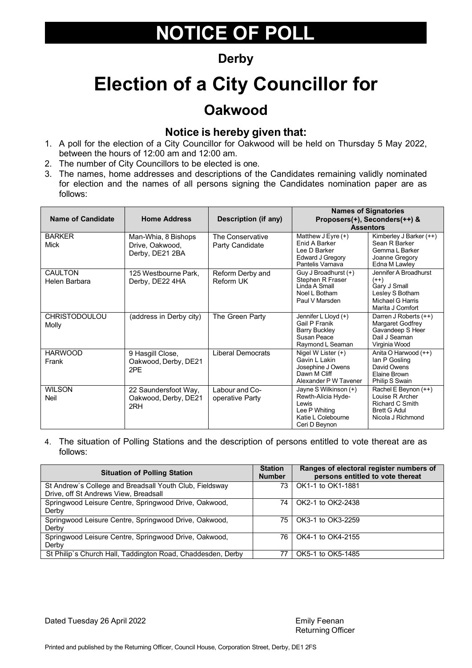### **Derby**

## **Election of a City Councillor for**

### **Oakwood**

#### **Notice is hereby given that:**

- 1. A poll for the election of a City Councillor for Oakwood will be held on Thursday 5 May 2022, between the hours of 12:00 am and 12:00 am.
- 2. The number of City Councillors to be elected is one.
- 3. The names, home addresses and descriptions of the Candidates remaining validly nominated for election and the names of all persons signing the Candidates nomination paper are as follows:

| Name of Candidate               | <b>Home Address</b>                                       | Description (if any)                | <b>Names of Signatories</b><br>Proposers(+), Seconders(++) &<br><b>Assentors</b>                             |                                                                                                                   |
|---------------------------------|-----------------------------------------------------------|-------------------------------------|--------------------------------------------------------------------------------------------------------------|-------------------------------------------------------------------------------------------------------------------|
| <b>BARKER</b><br>Mick           | Man-Whia, 8 Bishops<br>Drive, Oakwood,<br>Derby, DE21 2BA | The Conservative<br>Party Candidate | Matthew $J E$ yre $(+)$<br>Enid A Barker<br>Lee D Barker<br>Edward J Gregory<br>Pantelis Varnava             | Kimberley J Barker (++)<br>Sean R Barker<br>Gemma L Barker<br>Joanne Gregory<br>Edna M Lawley                     |
| <b>CAULTON</b><br>Helen Barbara | 125 Westbourne Park.<br>Derby, DE22 4HA                   | Reform Derby and<br>Reform UK       | Guy J Broadhurst (+)<br>Stephen R Fraser<br>Linda A Small<br>Noel L Botham<br>Paul V Marsden                 | Jennifer A Broadhurst<br>$(++)$<br>Gary J Small<br>Lesley S Botham<br><b>Michael G Harris</b><br>Marita J Comfort |
| <b>CHRISTODOULOU</b><br>Molly   | (address in Derby city)                                   | The Green Party                     | Jennifer L Lloyd (+)<br>Gail P Franik<br><b>Barry Buckley</b><br>Susan Peace<br>Raymond L Seaman             | Darren J Roberts (++)<br>Margaret Godfrey<br>Gavandeep S Heer<br>Dail J Seaman<br>Virginia Wood                   |
| <b>HARWOOD</b><br>Frank         | 9 Hasgill Close,<br>Oakwood, Derby, DE21<br>2PE           | <b>Liberal Democrats</b>            | Nigel W Lister (+)<br>Gavin L Lakin<br>Josephine J Owens<br>Dawn M Cliff<br>Alexander P W Tavener            | Anita O Harwood (++)<br>lan P Gosling<br>David Owens<br>Elaine Brown<br>Philip S Swain                            |
| <b>WILSON</b><br>Neil           | 22 Saundersfoot Way,<br>Oakwood, Derby, DE21<br>2RH       | Labour and Co-<br>operative Party   | Jayne S Wilkinson (+)<br>Rewth-Alicia Hyde-<br>Lewis<br>Lee P Whiting<br>Katie L Colebourne<br>Ceri D Beynon | Rachel E Beynon (++)<br>Louise R Archer<br><b>Richard C Smith</b><br><b>Brett G Adul</b><br>Nicola J Richmond     |

4. The situation of Polling Stations and the description of persons entitled to vote thereat are as follows:

| <b>Situation of Polling Station</b>                            | <b>Station</b><br><b>Number</b> | Ranges of electoral register numbers of<br>persons entitled to vote thereat |
|----------------------------------------------------------------|---------------------------------|-----------------------------------------------------------------------------|
| St Andrew's College and Breadsall Youth Club, Fieldsway        | 73.                             | OK1-1 to OK1-1881                                                           |
| Drive, off St Andrews View, Breadsall                          |                                 |                                                                             |
| Springwood Leisure Centre, Springwood Drive, Oakwood,<br>Derby | 74                              | OK2-1 to OK2-2438                                                           |
| Springwood Leisure Centre, Springwood Drive, Oakwood,<br>Derby | 75                              | OK3-1 to OK3-2259                                                           |
| Springwood Leisure Centre, Springwood Drive, Oakwood,          | 76                              | OK4-1 to OK4-2155                                                           |
| Derby                                                          |                                 |                                                                             |
| St Philip's Church Hall, Taddington Road, Chaddesden, Derby    |                                 | OK5-1 to OK5-1485                                                           |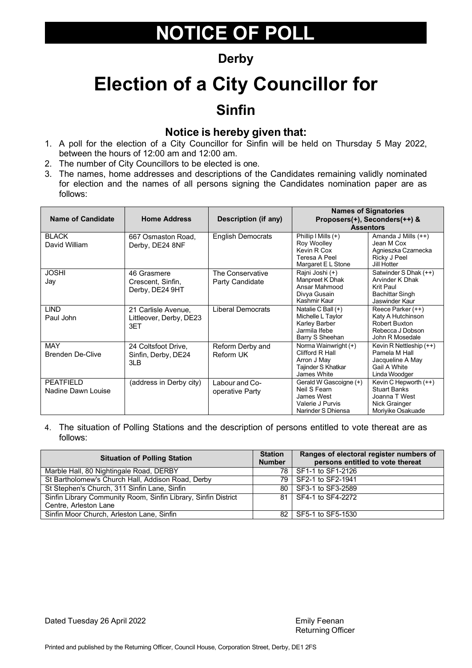#### **Derby**

## **Election of a City Councillor for Sinfin**

#### **Notice is hereby given that:**

- 1. A poll for the election of a City Councillor for Sinfin will be held on Thursday 5 May 2022, between the hours of 12:00 am and 12:00 am.
- 2. The number of City Councillors to be elected is one.
- 3. The names, home addresses and descriptions of the Candidates remaining validly nominated for election and the names of all persons signing the Candidates nomination paper are as follows:

| <b>Name of Candidate</b>               | <b>Home Address</b>                                   | Description (if any)                 | <b>Names of Signatories</b><br>Proposers(+), Seconders(++) &<br><b>Assentors</b>                                   |                                                                                                     |
|----------------------------------------|-------------------------------------------------------|--------------------------------------|--------------------------------------------------------------------------------------------------------------------|-----------------------------------------------------------------------------------------------------|
| <b>BLACK</b><br>David William          | 667 Osmaston Road,<br>Derby, DE24 8NF                 | <b>English Democrats</b>             | $\overline{\text{Philip I Mills}}$ (+)<br><b>Roy Woolley</b><br>Kevin R Cox<br>Teresa A Peel<br>Margaret E L Stone | Amanda J Mills (++)<br>Jean M Cox<br>Agnieszka Czarnecka<br>Ricky J Peel<br>Jill Hotter             |
| <b>JOSHI</b><br>Jay                    | 46 Grasmere<br>Crescent, Sinfin,<br>Derby, DE24 9HT   | The Conservative<br>Party Candidate  | Rajni Joshi (+)<br>Manpreet K Dhak<br>Ansar Mahmood<br>Divya Gusain<br>Kashmir Kaur                                | Satwinder S Dhak (++)<br>Arvinder K Dhak<br>Krit Paul<br>Bachittar Singh<br>Jaswinder Kaur          |
| <b>LIND</b><br>Paul John               | 21 Carlisle Avenue,<br>Littleover, Derby, DE23<br>3ET | Liberal Democrats                    | Natalie C Ball (+)<br>Michelle L Taylor<br>Karley Barber<br>Jarmila Ifebe<br>Barry S Sheehan                       | Reece Parker (++)<br>Katy A Hutchinson<br>Robert Buxton<br>Rebecca J Dobson<br>John R Mosedale      |
| <b>MAY</b><br><b>Brenden De-Clive</b>  | 24 Coltsfoot Drive,<br>Sinfin, Derby, DE24<br>3LB     | Reform Derby and<br><b>Reform UK</b> | Norma Wainwright (+)<br>Clifford R Hall<br>Arron J May<br>Tajinder S Khatkar<br>James White                        | Kevin R Nettleship (++)<br>Pamela M Hall<br>Jacqueline A May<br>Gail A White<br>Linda Woodger       |
| <b>PEATFIELD</b><br>Nadine Dawn Louise | (address in Derby city)                               | Labour and Co-<br>operative Party    | Gerald W Gascoigne (+)<br>Neil S Fearn<br>James West<br>Valerie J Purvis<br>Narinder S Dhiensa                     | Kevin C Hepworth (++)<br><b>Stuart Banks</b><br>Joanna T West<br>Nick Grainger<br>Moriyike Osakuade |

4. The situation of Polling Stations and the description of persons entitled to vote thereat are as follows:

| <b>Situation of Polling Station</b>                            |  | Ranges of electoral register numbers of<br>persons entitled to vote thereat |
|----------------------------------------------------------------|--|-----------------------------------------------------------------------------|
| Marble Hall, 80 Nightingale Road, DERBY                        |  | 78 SF1-1 to SF1-2126                                                        |
| St Bartholomew's Church Hall, Addison Road, Derby              |  | 79 SF2-1 to SF2-1941                                                        |
| St Stephen's Church, 311 Sinfin Lane, Sinfin                   |  | 80 SF3-1 to SF3-2589                                                        |
| Sinfin Library Community Room, Sinfin Library, Sinfin District |  | 81 SF4-1 to SF4-2272                                                        |
| Centre, Arleston Lane                                          |  |                                                                             |
| Sinfin Moor Church, Arleston Lane, Sinfin                      |  | 82 SF5-1 to SF5-1530                                                        |